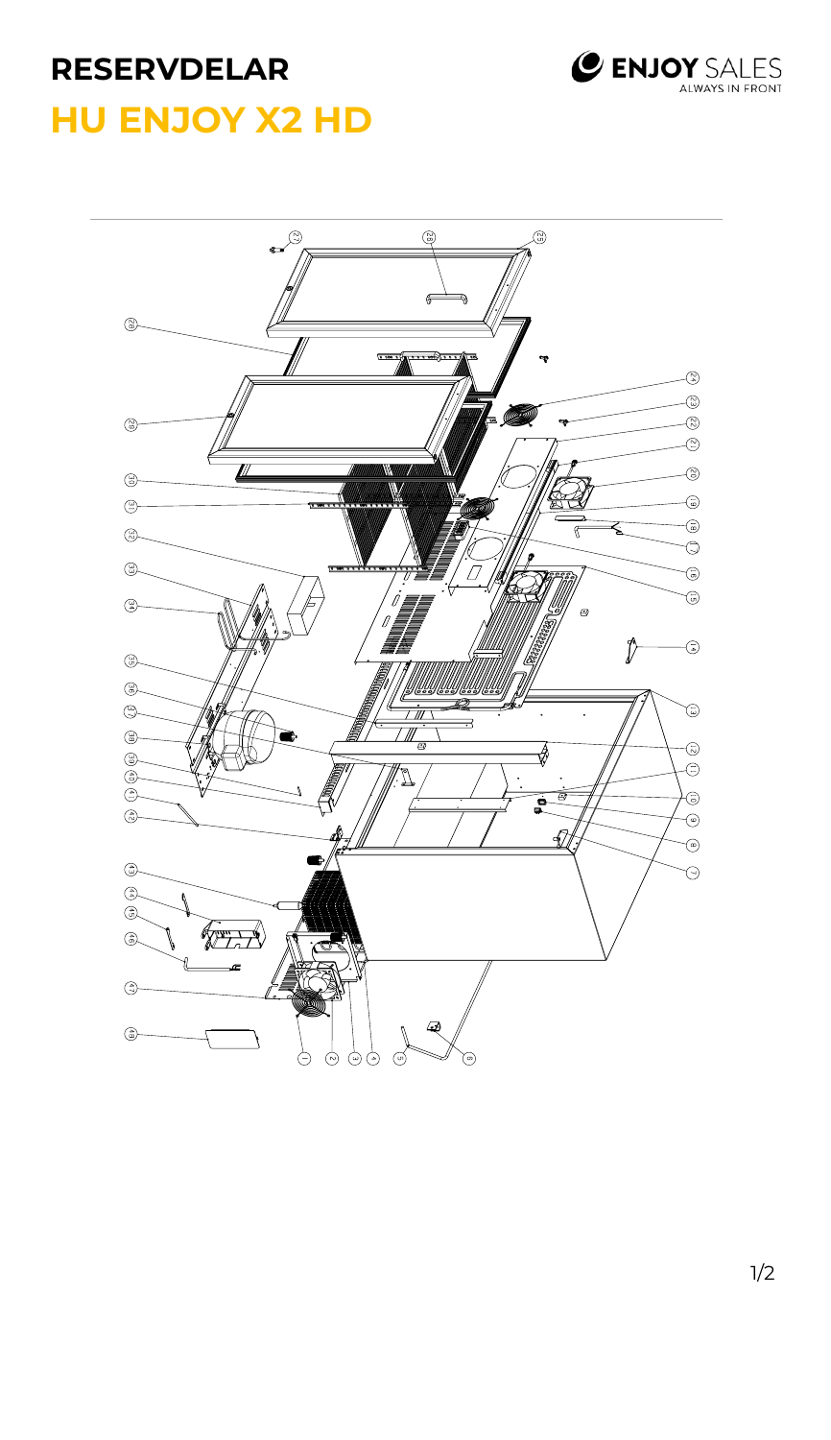## **RESERVDELAR**



## **HU ENJOY X2 HD**